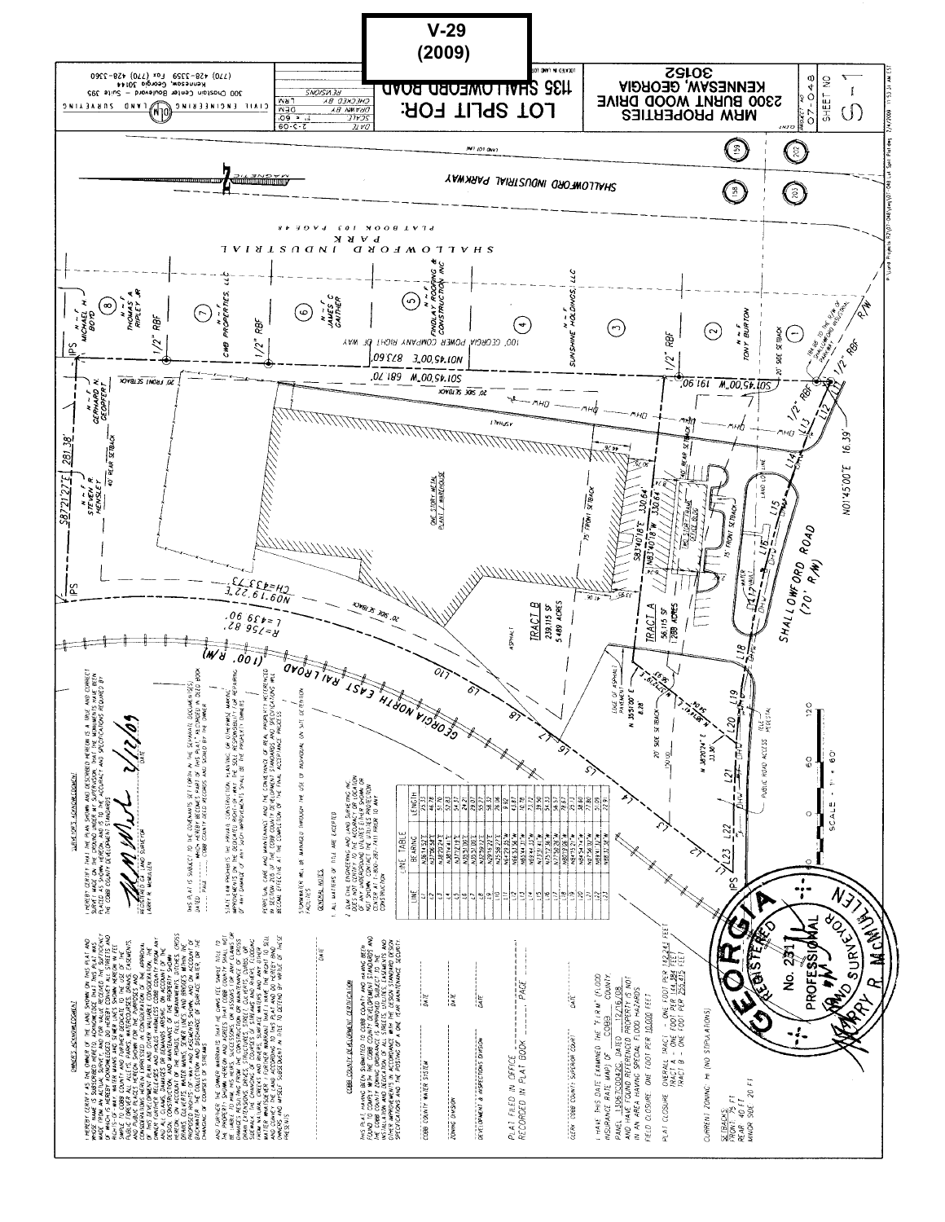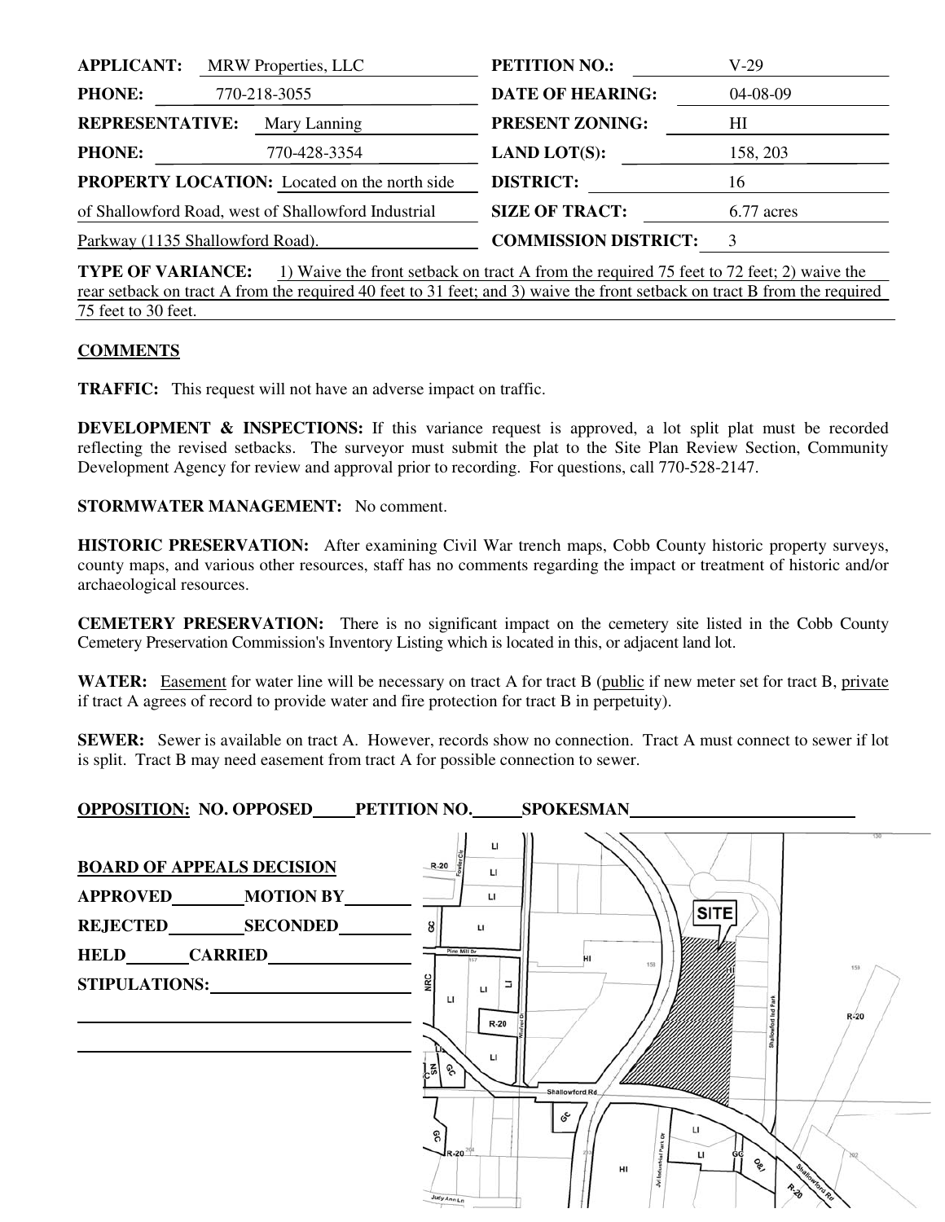| <b>APPLICANT:</b>                                   | <b>MRW</b> Properties, LLC |                         | <b>PETITION NO.:</b>        | V-29       |
|-----------------------------------------------------|----------------------------|-------------------------|-----------------------------|------------|
| <b>PHONE:</b><br>770-218-3055                       |                            | <b>DATE OF HEARING:</b> | $04 - 08 - 09$              |            |
| <b>REPRESENTATIVE:</b><br>Mary Lanning              |                            | <b>PRESENT ZONING:</b>  | HІ                          |            |
| <b>PHONE:</b>                                       |                            | 770-428-3354            | <b>LAND LOT(S):</b>         | 158, 203   |
| <b>PROPERTY LOCATION:</b> Located on the north side |                            |                         | <b>DISTRICT:</b>            | 16         |
| of Shallowford Road, west of Shallowford Industrial |                            |                         | <b>SIZE OF TRACT:</b>       | 6.77 acres |
| Parkway (1135 Shallowford Road).                    |                            |                         | <b>COMMISSION DISTRICT:</b> | 3          |
|                                                     |                            |                         |                             |            |

**TYPE OF VARIANCE:** 1) Waive the front setback on tract A from the required 75 feet to 72 feet; 2) waive the rear setback on tract A from the required 40 feet to 31 feet; and 3) waive the front setback on tract B from the required 75 feet to 30 feet.

## **COMMENTS**

**TRAFFIC:** This request will not have an adverse impact on traffic.

**DEVELOPMENT & INSPECTIONS:** If this variance request is approved, a lot split plat must be recorded reflecting the revised setbacks. The surveyor must submit the plat to the Site Plan Review Section, Community Development Agency for review and approval prior to recording. For questions, call 770-528-2147.

**STORMWATER MANAGEMENT:** No comment.

**HISTORIC PRESERVATION:** After examining Civil War trench maps, Cobb County historic property surveys, county maps, and various other resources, staff has no comments regarding the impact or treatment of historic and/or archaeological resources.

**CEMETERY PRESERVATION:** There is no significant impact on the cemetery site listed in the Cobb County Cemetery Preservation Commission's Inventory Listing which is located in this, or adjacent land lot.

WATER: Easement for water line will be necessary on tract A for tract B (public if new meter set for tract B, private if tract A agrees of record to provide water and fire protection for tract B in perpetuity).

**SEWER:** Sewer is available on tract A. However, records show no connection. Tract A must connect to sewer if lot is split. Tract B may need easement from tract A for possible connection to sewer.

**OPPOSITION: NO. OPPOSED PETITION NO. SPOKESMAN** 

| <b>BOARD OF APPEALS DECISION</b><br>APPROVED MOTION BY<br>REJECTED SECONDED<br>HELD CARRIED<br>STIPULATIONS: | $\mathsf{L}$<br>$R-20$<br>п<br>u<br><b>SITE</b><br>မ္တ<br>LI<br>Pine Mill Dr<br>158<br>159<br><b>NRC</b><br>Е<br>$\mathbf{u}$<br>$\mathbf{u}$<br>$R-20$<br>$R-20$<br>$\mathbf{L}$<br>뎖<br>ୡ |  |  |  |
|--------------------------------------------------------------------------------------------------------------|---------------------------------------------------------------------------------------------------------------------------------------------------------------------------------------------|--|--|--|
|                                                                                                              | Shallowford Rd.<br>င့်<br>п<br>႙<br>$J_{R-20}$<br>п<br><b>Qp</b><br>HI<br>R.ZO<br>Judy Ann Ln                                                                                               |  |  |  |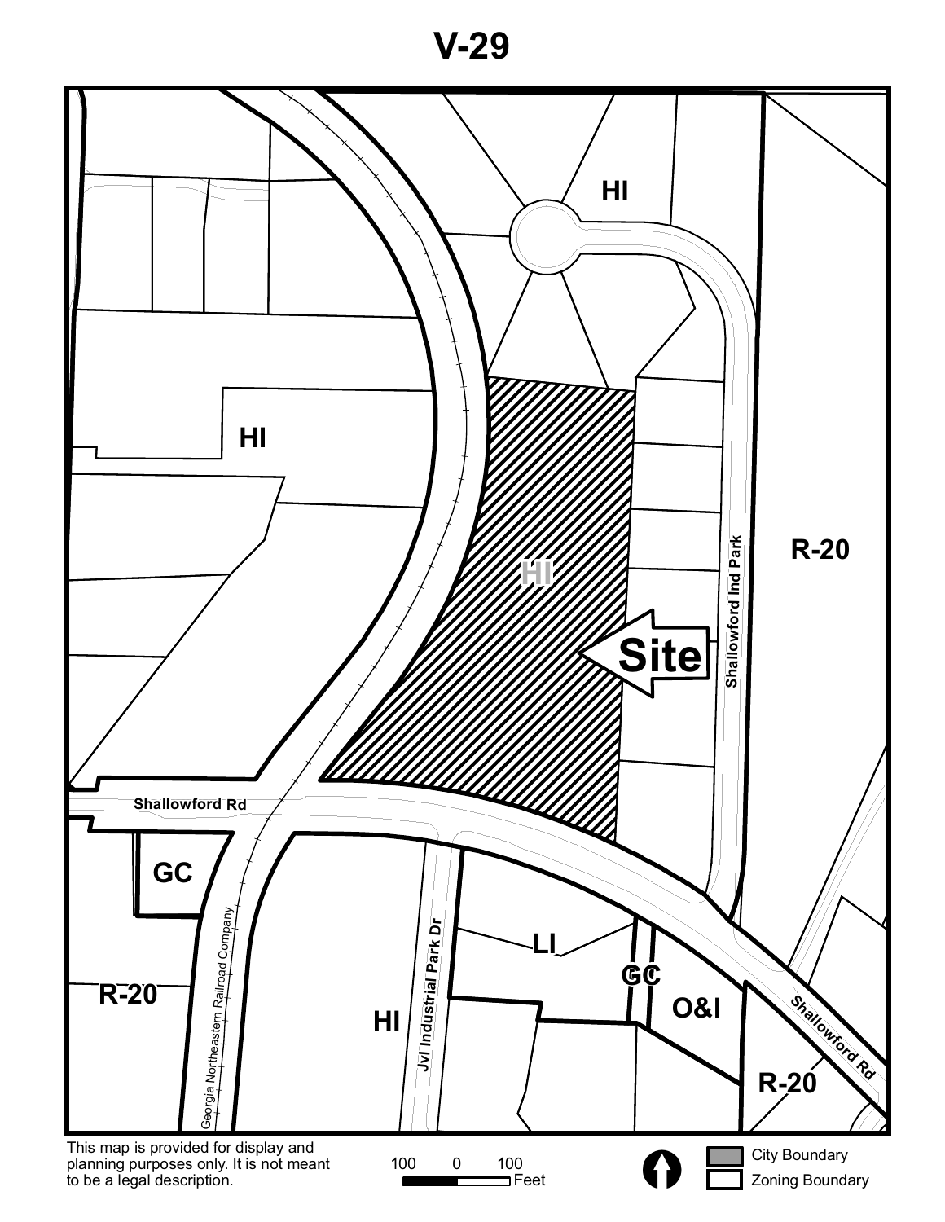**V-29**